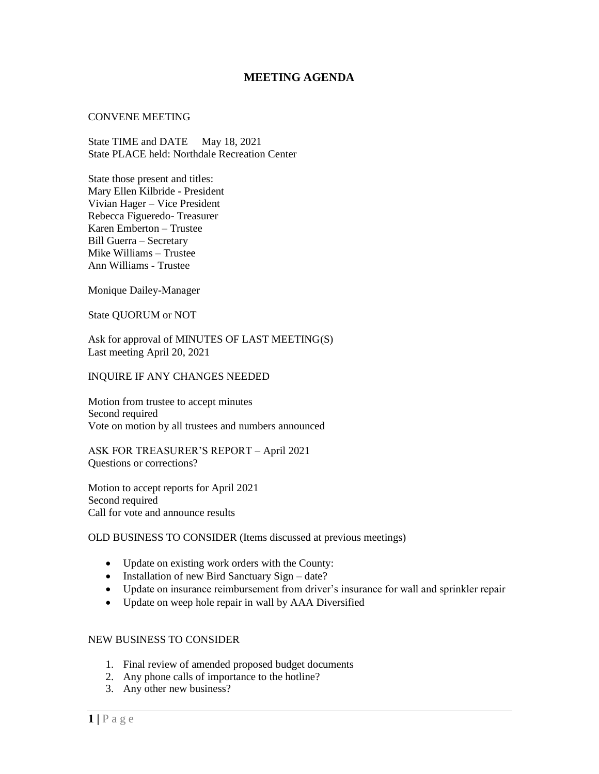# **MEETING AGENDA**

### CONVENE MEETING

State TIME and DATE May 18, 2021 State PLACE held: Northdale Recreation Center

State those present and titles: Mary Ellen Kilbride - President Vivian Hager – Vice President Rebecca Figueredo- Treasurer Karen Emberton – Trustee Bill Guerra – Secretary Mike Williams – Trustee Ann Williams - Trustee

Monique Dailey-Manager

State QUORUM or NOT

Ask for approval of MINUTES OF LAST MEETING(S) Last meeting April 20, 2021

### INQUIRE IF ANY CHANGES NEEDED

Motion from trustee to accept minutes Second required Vote on motion by all trustees and numbers announced

ASK FOR TREASURER'S REPORT – April 2021 Questions or corrections?

Motion to accept reports for April 2021 Second required Call for vote and announce results

# OLD BUSINESS TO CONSIDER (Items discussed at previous meetings)

- Update on existing work orders with the County:
- Installation of new Bird Sanctuary Sign date?
- Update on insurance reimbursement from driver's insurance for wall and sprinkler repair
- Update on weep hole repair in wall by AAA Diversified

# NEW BUSINESS TO CONSIDER

- 1. Final review of amended proposed budget documents
- 2. Any phone calls of importance to the hotline?
- 3. Any other new business?